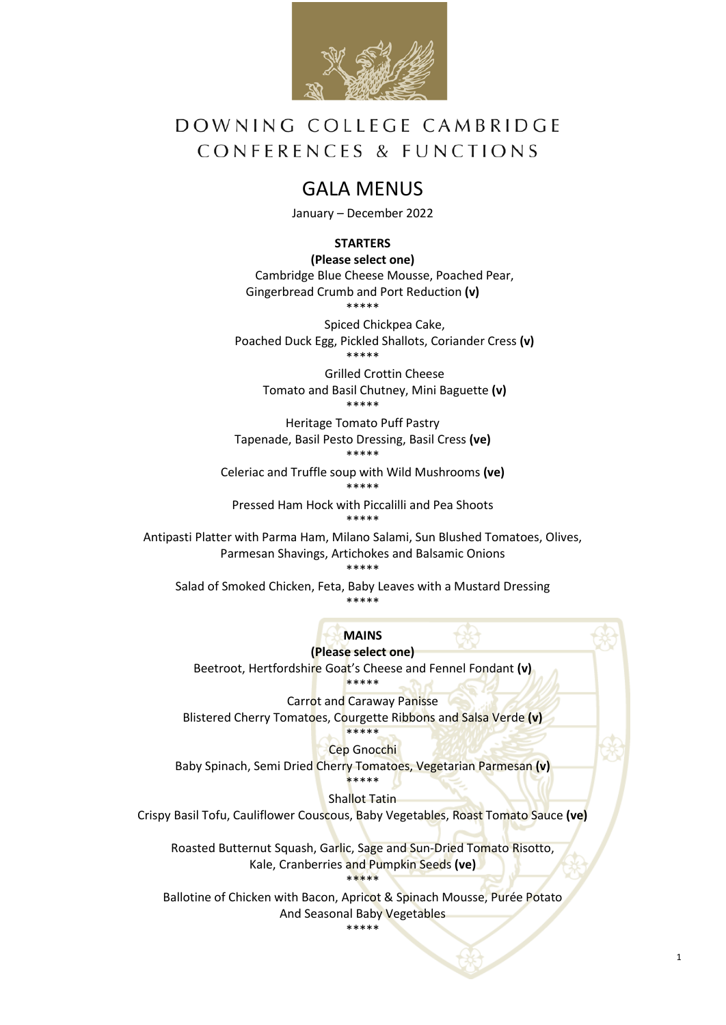

# DOWNING COLLEGE CAMBRIDGE CONFERENCES & FUNCTIONS

### GALA MENUS

January – December 2022

### **STARTERS**

**(Please select one)** Cambridge Blue Cheese Mousse, Poached Pear, Gingerbread Crumb and Port Reduction **(v)** \*\*\*\*\*

Spiced Chickpea Cake, Poached Duck Egg, Pickled Shallots, Coriander Cress **(v)** \*\*\*\*\*

Grilled Crottin Cheese Tomato and Basil Chutney, Mini Baguette **(v)** \*\*\*\*\*

Heritage Tomato Puff Pastry Tapenade, Basil Pesto Dressing, Basil Cress **(ve)** \*\*\*\*\*

Celeriac and Truffle soup with Wild Mushrooms **(ve)** \*\*\*\*\*

Pressed Ham Hock with Piccalilli and Pea Shoots \*\*\*\*\*

Antipasti Platter with Parma Ham, Milano Salami, Sun Blushed Tomatoes, Olives, Parmesan Shavings, Artichokes and Balsamic Onions \*\*\*\*\*

Salad of Smoked Chicken, Feta, Baby Leaves with a Mustard Dressing \*\*\*\*\*

**MAINS**

**(Please select one)** Beetroot, Hertfordshire Goat's Cheese and Fennel Fondant **(v)** \*\*\*\*\*

Carrot and Caraway Panisse Blistered Cherry Tomatoes, Courgette Ribbons and Salsa Verde **(v)** \*\*\*\*\*

Cep Gnocchi Baby Spinach, Semi Dried Cherry Tomatoes, Vegetarian Parmesan **(v)** \*\*\*\*\*

Shallot Tatin

Crispy Basil Tofu, Cauliflower Couscous, Baby Vegetables, Roast Tomato Sauce **(ve)**

Roasted Butternut Squash, Garlic, Sage and Sun-Dried Tomato Risotto, Kale, Cranberries and Pumpkin Seeds **(ve)** \*\*\*\*\*

Ballotine of Chicken with Bacon, Apricot & Spinach Mousse, Purée Potato And Seasonal Baby Vegetables

\*\*\*\*\*

1